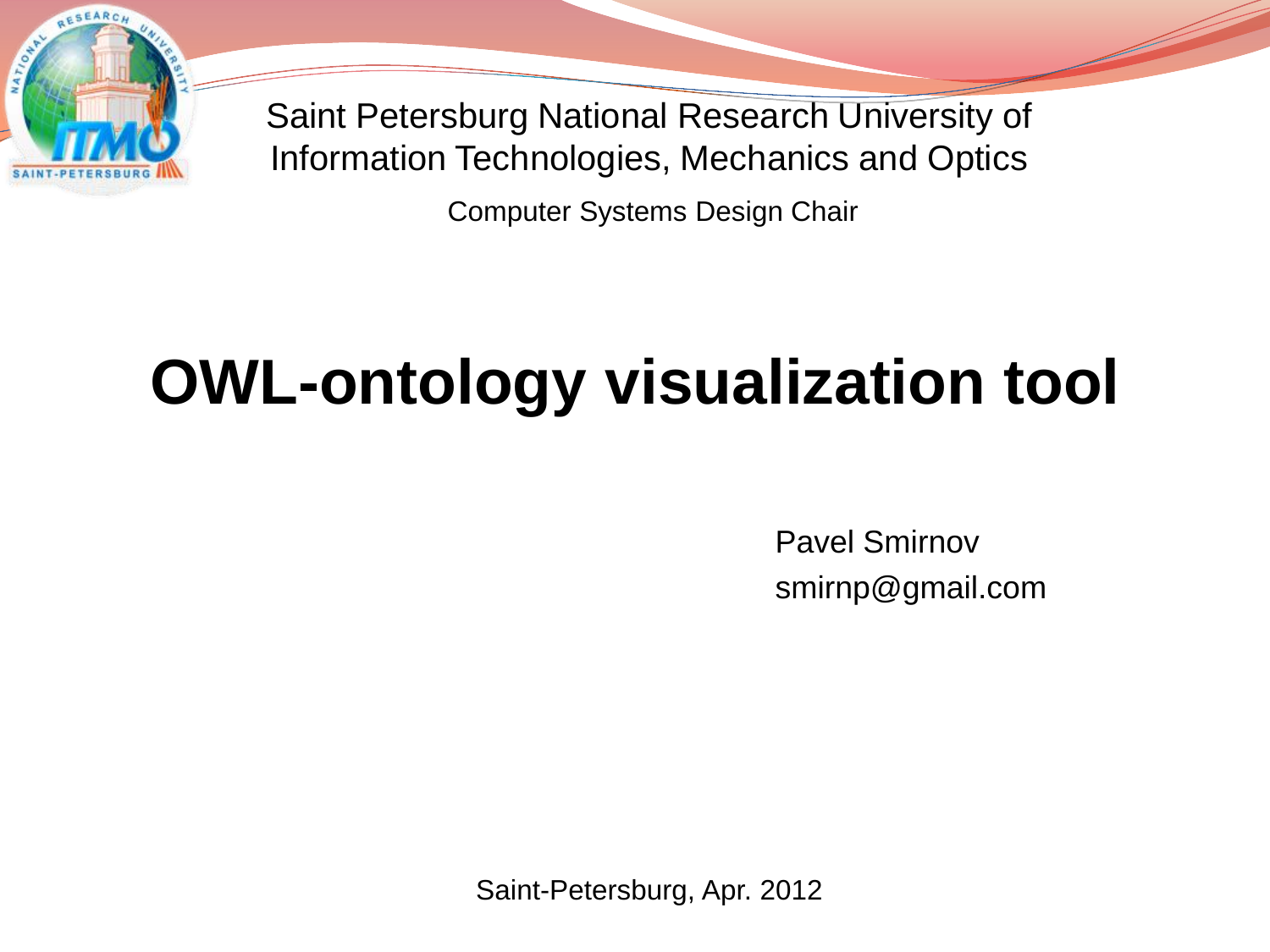

Saint Petersburg National Research University of Information Technologies, Mechanics and Optics

Computer Systems Design Chair

# **OWL-ontology visualization tool**

Pavel Smirnov smirnp@gmail.com

Saint-Petersburg, Apr. 2012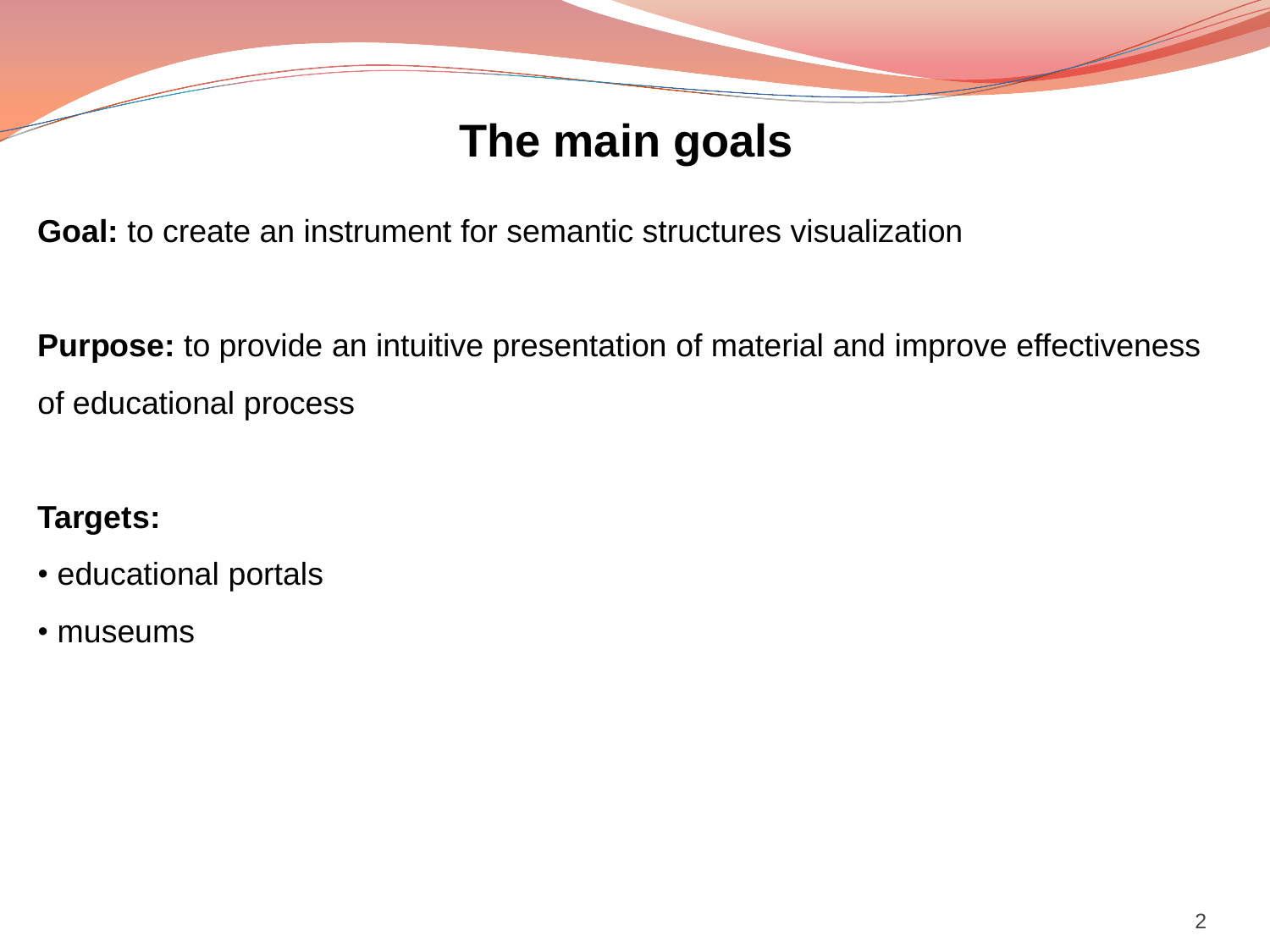## **The main goals**

**Goal:** to create an instrument for semantic structures visualization

**Purpose:** to provide an intuitive presentation of material and improve effectiveness of educational process

#### **Targets:**

- educational portals
- museums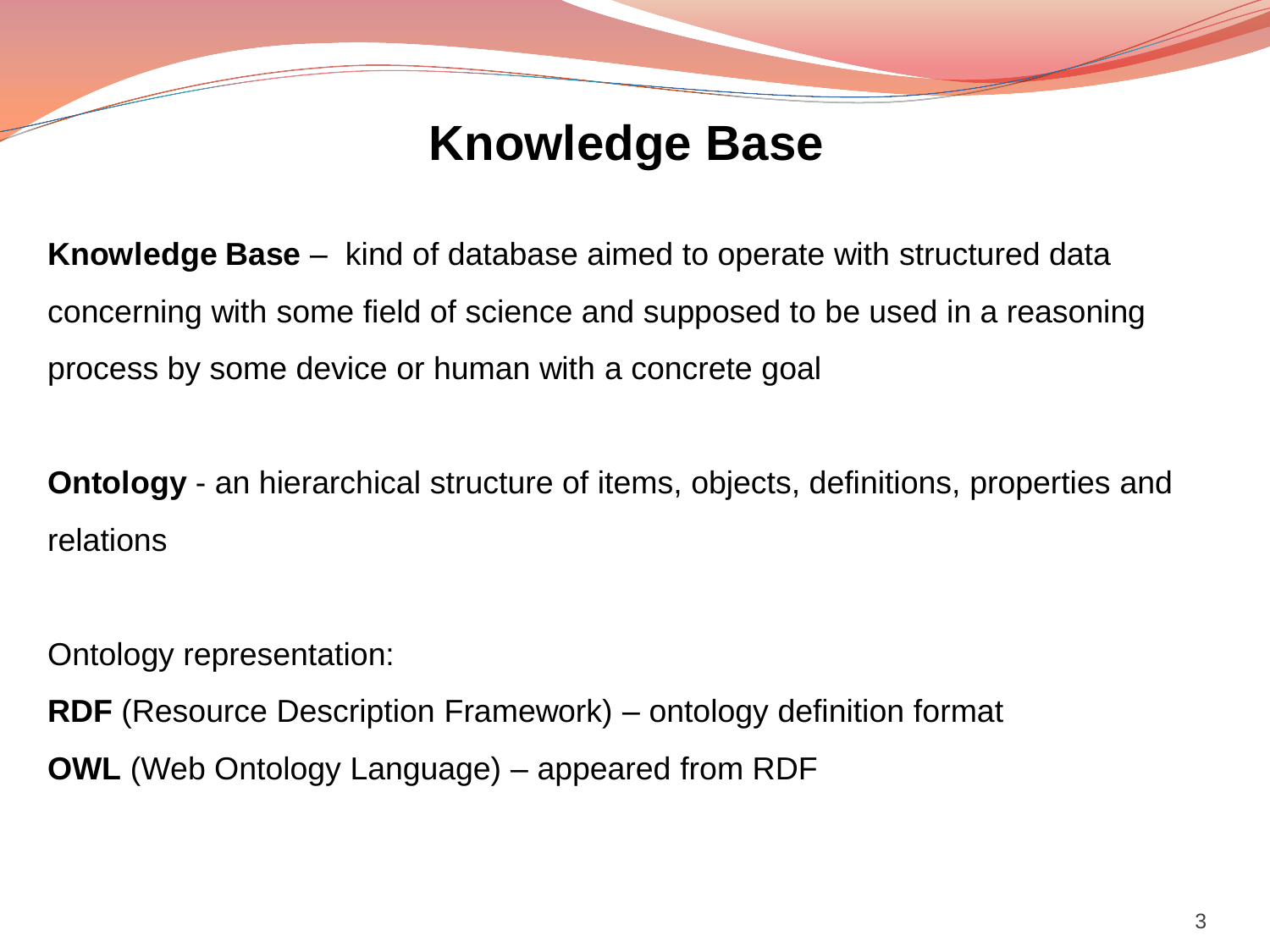# **Knowledge Base**

**Knowledge Base** – kind of database aimed to operate with structured data concerning with some field of science and supposed to be used in a reasoning process by some device or human with a concrete goal

**Ontology** - an hierarchical structure of items, objects, definitions, properties and relations

Ontology representation:

**RDF** (Resource Description Framework) – ontology definition format

**OWL** (Web Ontology Language) – appeared from RDF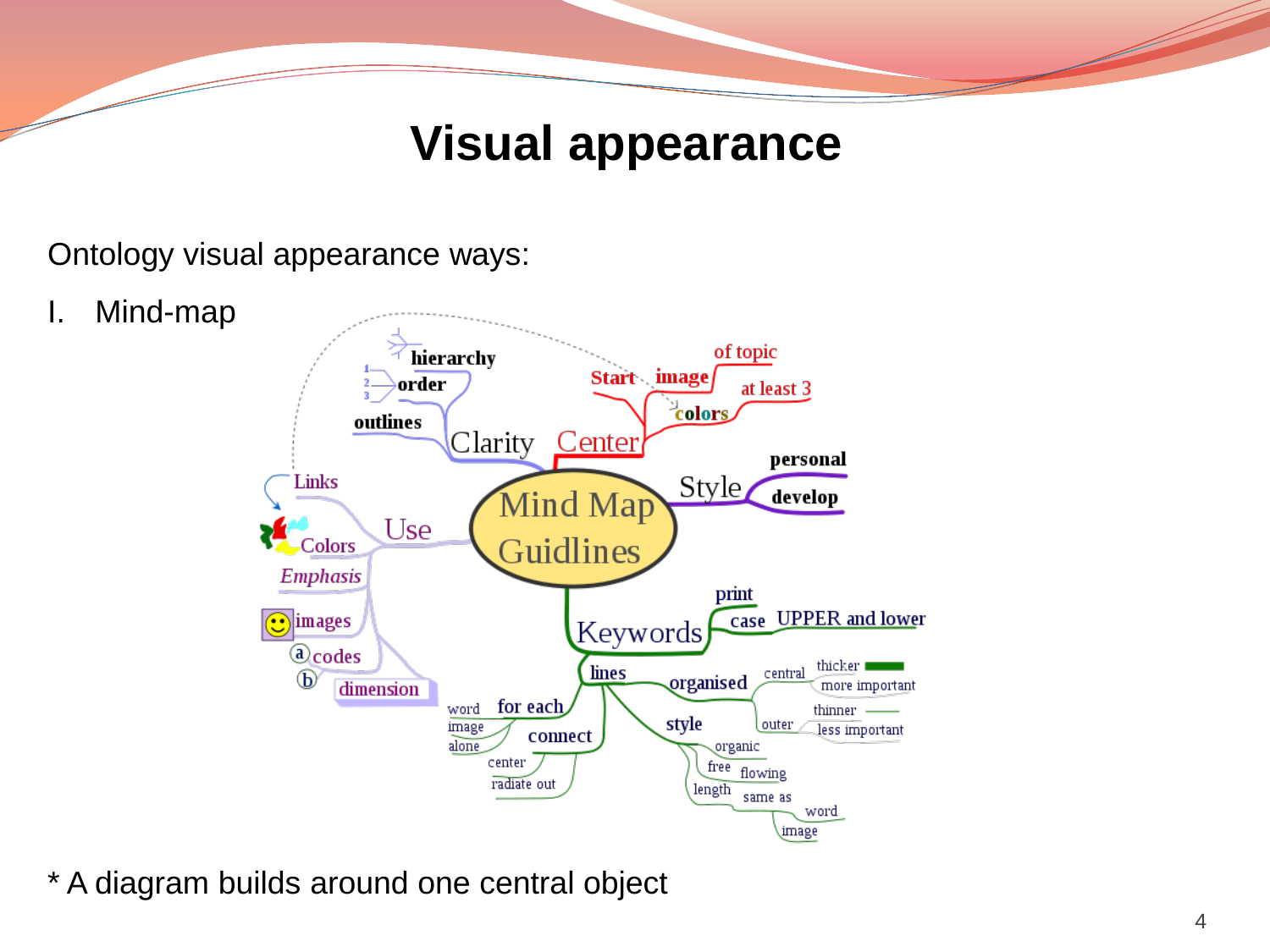## **Visual appearance**

#### Ontology visual appearance ways:

I. Mind-map



\* A diagram builds around one central object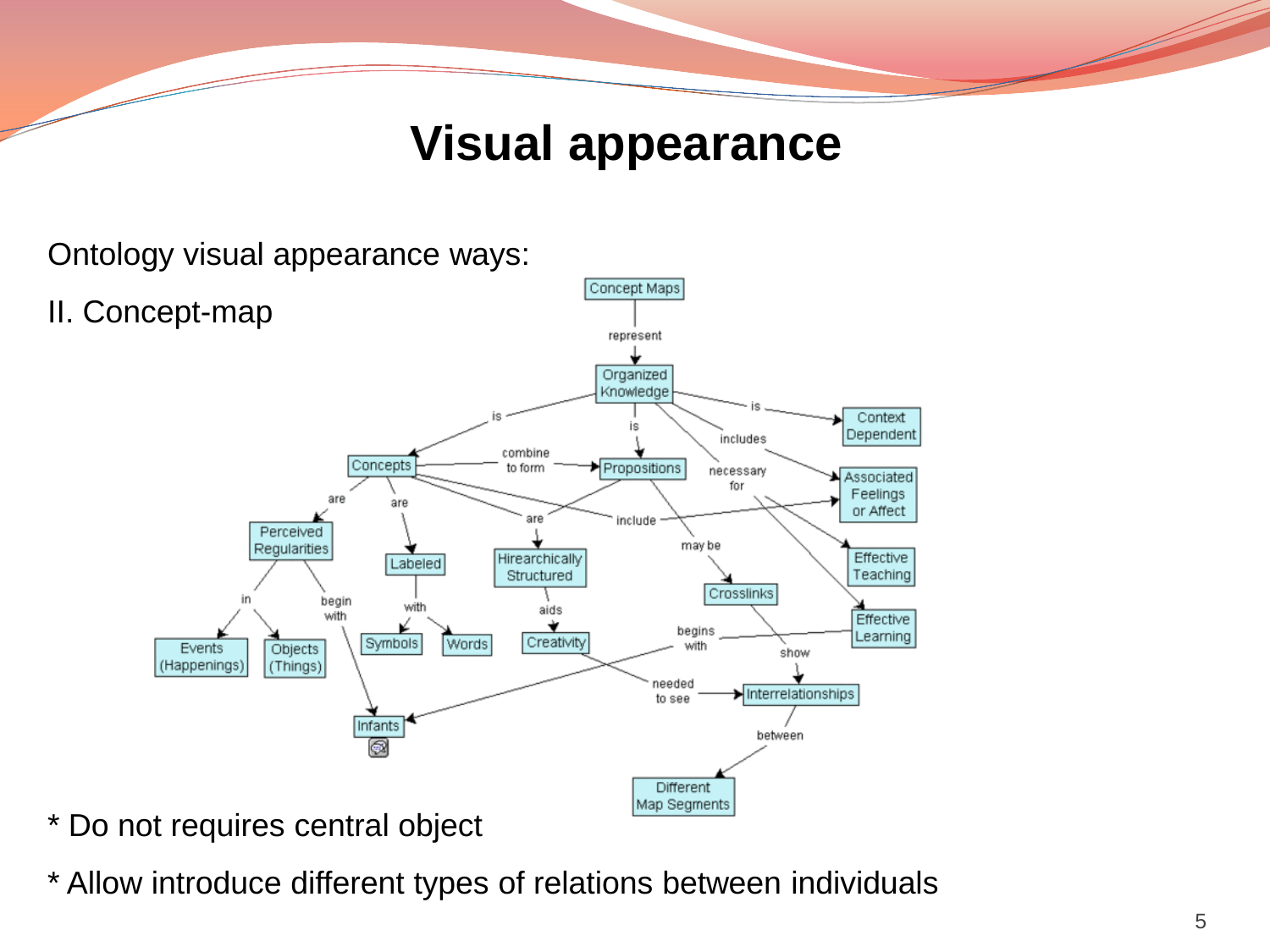## **Visual appearance**

Ontology visual appearance ways:



- \* Do not requires central object
- \* Allow introduce different types of relations between individuals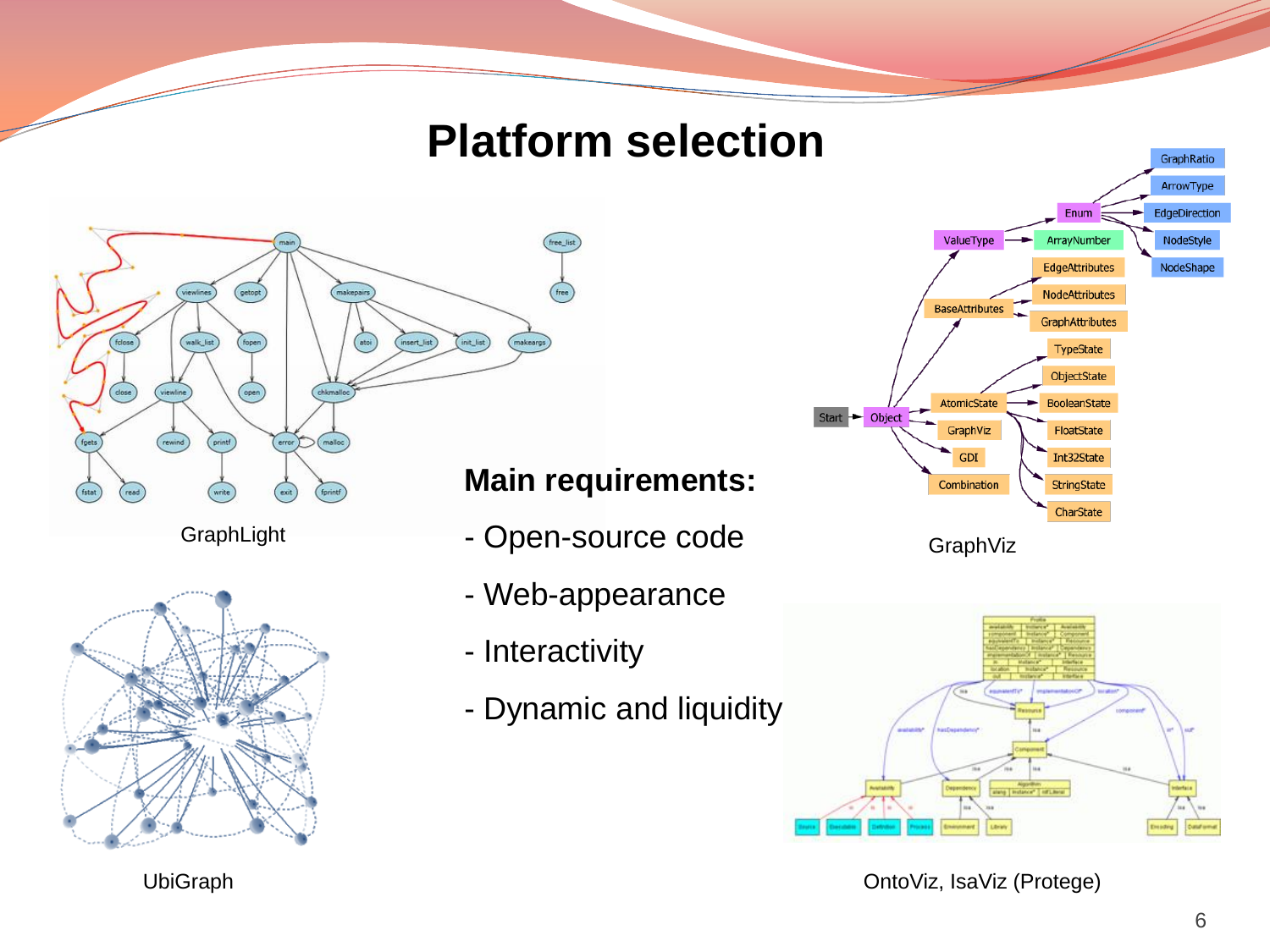## **Platform selection**



GraphLight



#### **Main requirements:**

- Open-source code
- Web-appearance
- Interactivity
- Dynamic and liquidity







OntoViz, IsaViz (Protege)

UbiGraph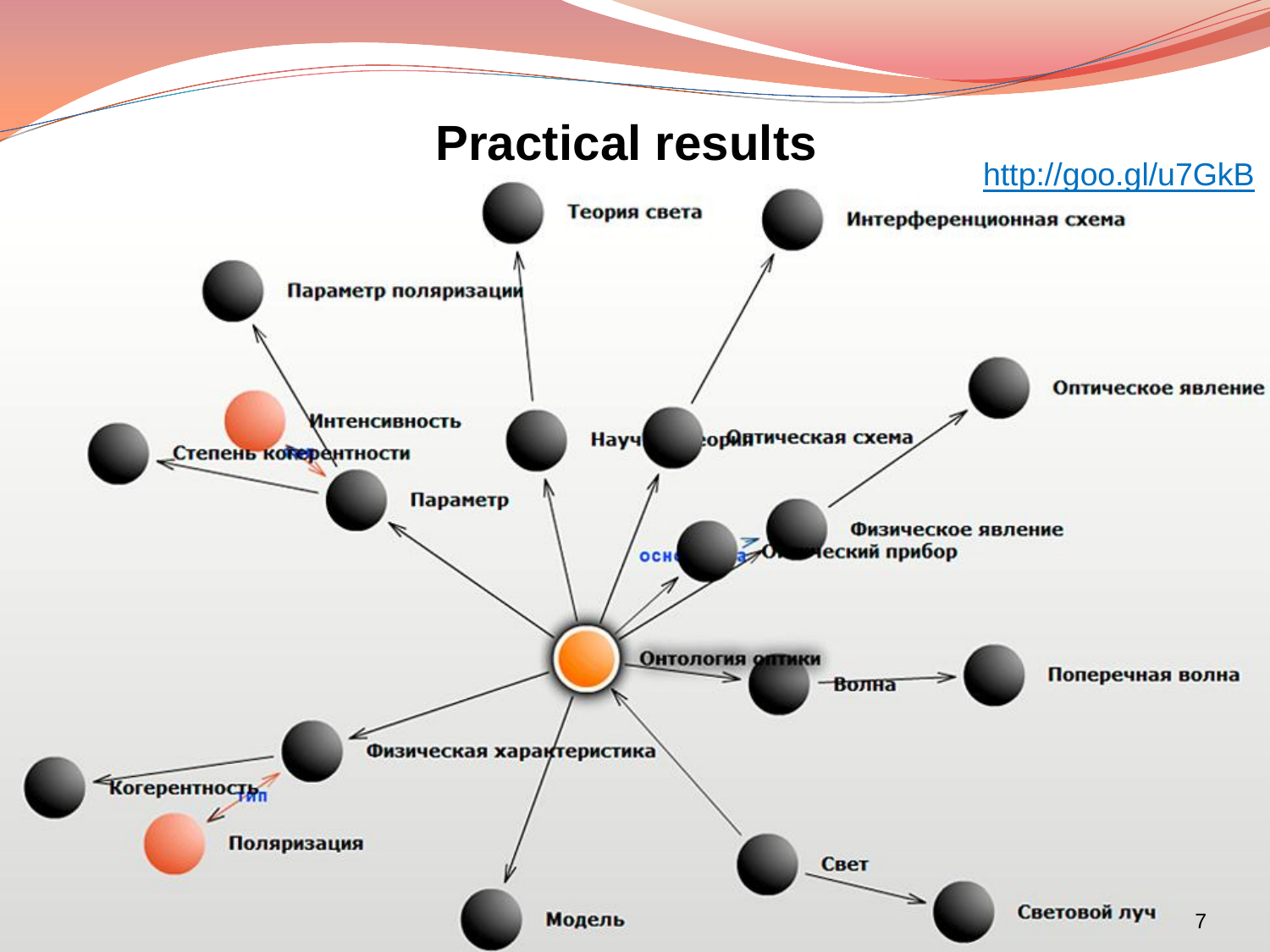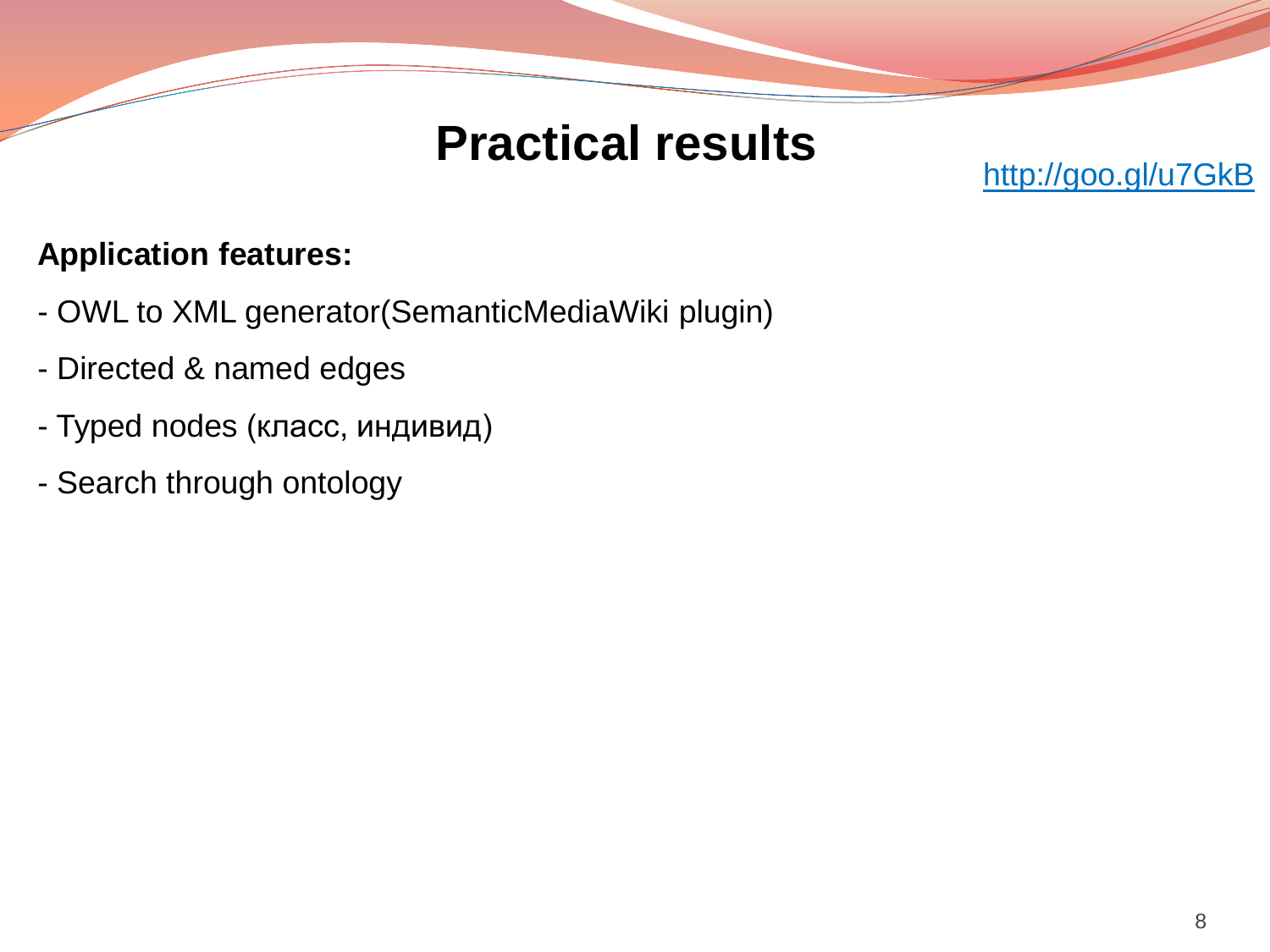## **Practical results**

### http://goo.gl/u7GkB

### **Application features:**

- OWL to XML generator(SemanticMediaWiki plugin)
- Directed & named edges
- Typed nodes (класс, индивид)
- Search through ontology